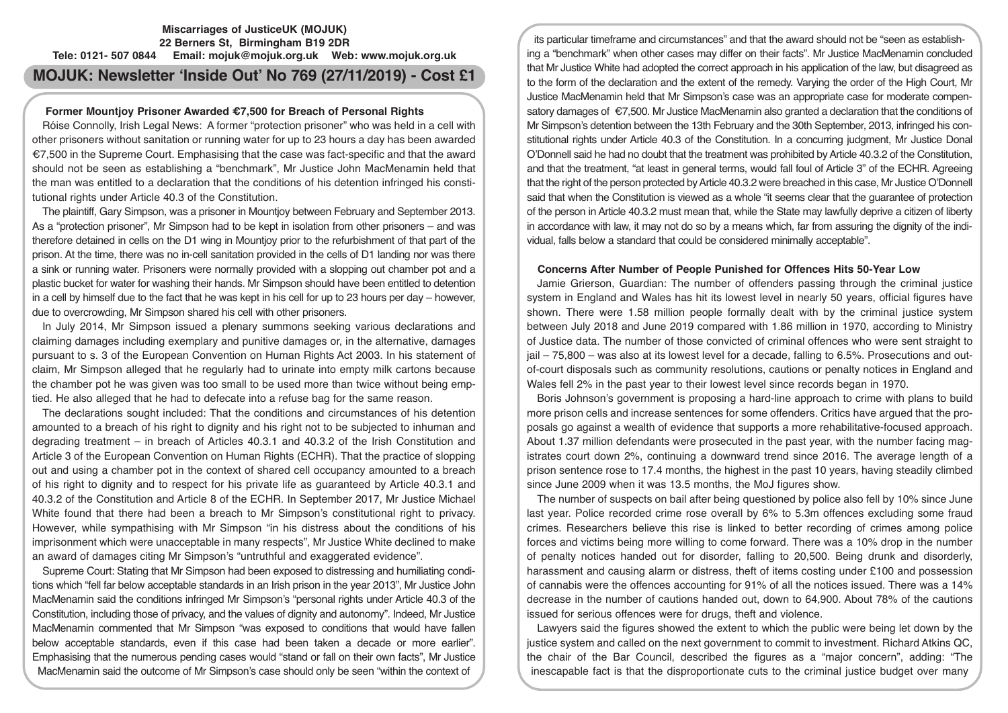# **Miscarriages of JusticeUK (MOJUK) 22 Berners St, Birmingham B19 2DR Tele: 0121- 507 0844 Email: mojuk@mojuk.org.uk Web: www.mojuk.org.uk**

# **MOJUK: Newsletter 'Inside Out' No 769 (27/11/2019) - Cost £1**

# **Former Mountjoy Prisoner Awarded €7,500 for Breach of Personal Rights**

Róise Connolly, Irish Legal News: A former "protection prisoner" who was held in a cell with other prisoners without sanitation or running water for up to 23 hours a day has been awarded €7,500 in the Supreme Court. Emphasising that the case was fact-specific and that the award should not be seen as establishing a "benchmark", Mr Justice John MacMenamin held that the man was entitled to a declaration that the conditions of his detention infringed his constitutional rights under Article 40.3 of the Constitution.

The plaintiff, Gary Simpson, was a prisoner in Mountjoy between February and September 2013. As a "protection prisoner", Mr Simpson had to be kept in isolation from other prisoners – and was therefore detained in cells on the D1 wing in Mountjoy prior to the refurbishment of that part of the prison. At the time, there was no in-cell sanitation provided in the cells of D1 landing nor was there a sink or running water. Prisoners were normally provided with a slopping out chamber pot and a plastic bucket for water for washing their hands. Mr Simpson should have been entitled to detention in a cell by himself due to the fact that he was kept in his cell for up to 23 hours per day – however, due to overcrowding, Mr Simpson shared his cell with other prisoners.

In July 2014, Mr Simpson issued a plenary summons seeking various declarations and claiming damages including exemplary and punitive damages or, in the alternative, damages pursuant to s. 3 of the European Convention on Human Rights Act 2003. In his statement of claim, Mr Simpson alleged that he regularly had to urinate into empty milk cartons because the chamber pot he was given was too small to be used more than twice without being emptied. He also alleged that he had to defecate into a refuse bag for the same reason.

The declarations sought included: That the conditions and circumstances of his detention amounted to a breach of his right to dignity and his right not to be subjected to inhuman and degrading treatment – in breach of Articles 40.3.1 and 40.3.2 of the Irish Constitution and Article 3 of the European Convention on Human Rights (ECHR). That the practice of slopping out and using a chamber pot in the context of shared cell occupancy amounted to a breach of his right to dignity and to respect for his private life as guaranteed by Article 40.3.1 and 40.3.2 of the Constitution and Article 8 of the ECHR. In September 2017, Mr Justice Michael White found that there had been a breach to Mr Simpson's constitutional right to privacy. However, while sympathising with Mr Simpson "in his distress about the conditions of his imprisonment which were unacceptable in many respects", Mr Justice White declined to make an award of damages citing Mr Simpson's "untruthful and exaggerated evidence".

Supreme Court: Stating that Mr Simpson had been exposed to distressing and humiliating conditions which "fell far below acceptable standards in an Irish prison in the year 2013", Mr Justice John MacMenamin said the conditions infringed Mr Simpson's "personal rights under Article 40.3 of the Constitution, including those of privacy, and the values of dignity and autonomy". Indeed, Mr Justice MacMenamin commented that Mr Simpson "was exposed to conditions that would have fallen below acceptable standards, even if this case had been taken a decade or more earlier". Emphasising that the numerous pending cases would "stand or fall on their own facts", Mr Justice MacMenamin said the outcome of Mr Simpson's case should only be seen "within the context of

its particular timeframe and circumstances" and that the award should not be "seen as establishing a "benchmark" when other cases may differ on their facts". Mr Justice MacMenamin concluded that Mr Justice White had adopted the correct approach in his application of the law, but disagreed as to the form of the declaration and the extent of the remedy. Varying the order of the High Court, Mr Justice MacMenamin held that Mr Simpson's case was an appropriate case for moderate compensatory damages of €7,500. Mr Justice MacMenamin also granted a declaration that the conditions of Mr Simpson's detention between the 13th February and the 30th September, 2013, infringed his constitutional rights under Article 40.3 of the Constitution. In a concurring judgment, Mr Justice Donal O'Donnell said he had no doubt that the treatment was prohibited by Article 40.3.2 of the Constitution, and that the treatment, "at least in general terms, would fall foul of Article 3" of the ECHR. Agreeing that the right of the person protected by Article 40.3.2 were breached in this case, Mr Justice O'Donnell said that when the Constitution is viewed as a whole "it seems clear that the guarantee of protection of the person in Article 40.3.2 must mean that, while the State may lawfully deprive a citizen of liberty in accordance with law, it may not do so by a means which, far from assuring the dignity of the individual, falls below a standard that could be considered minimally acceptable".

#### **Concerns After Number of People Punished for Offences Hits 50-Year Low**

Jamie Grierson, Guardian: The number of offenders passing through the criminal justice system in England and Wales has hit its lowest level in nearly 50 years, official figures have shown. There were 1.58 million people formally dealt with by the criminal justice system between July 2018 and June 2019 compared with 1.86 million in 1970, according to Ministry of Justice data. The number of those convicted of criminal offences who were sent straight to jail – 75,800 – was also at its lowest level for a decade, falling to 6.5%. Prosecutions and outof-court disposals such as community resolutions, cautions or penalty notices in England and Wales fell 2% in the past year to their lowest level since records began in 1970.

Boris Johnson's government is proposing a hard-line approach to crime with plans to build more prison cells and increase sentences for some offenders. Critics have argued that the proposals go against a wealth of evidence that supports a more rehabilitative-focused approach. About 1.37 million defendants were prosecuted in the past year, with the number facing magistrates court down 2%, continuing a downward trend since 2016. The average length of a prison sentence rose to 17.4 months, the highest in the past 10 years, having steadily climbed since June 2009 when it was 13.5 months, the MoJ figures show.

The number of suspects on bail after being questioned by police also fell by 10% since June last year. Police recorded crime rose overall by 6% to 5.3m offences excluding some fraud crimes. Researchers believe this rise is linked to better recording of crimes among police forces and victims being more willing to come forward. There was a 10% drop in the number of penalty notices handed out for disorder, falling to 20,500. Being drunk and disorderly, harassment and causing alarm or distress, theft of items costing under £100 and possession of cannabis were the offences accounting for 91% of all the notices issued. There was a 14% decrease in the number of cautions handed out, down to 64,900. About 78% of the cautions issued for serious offences were for drugs, theft and violence.

Lawyers said the figures showed the extent to which the public were being let down by the justice system and called on the next government to commit to investment. Richard Atkins QC, the chair of the Bar Council, described the figures as a "major concern", adding: "The inescapable fact is that the disproportionate cuts to the criminal justice budget over many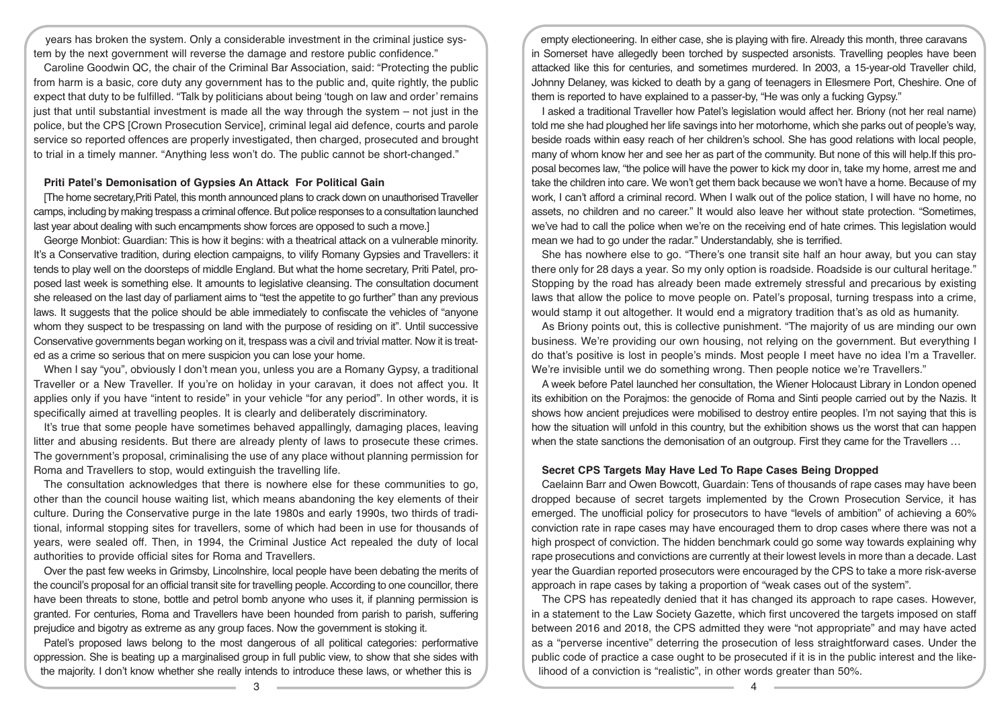years has broken the system. Only a considerable investment in the criminal justice system by the next government will reverse the damage and restore public confidence."

Caroline Goodwin QC, the chair of the Criminal Bar Association, said: "Protecting the public from harm is a basic, core duty any government has to the public and, quite rightly, the public expect that duty to be fulfilled. "Talk by politicians about being 'tough on law and order' remains just that until substantial investment is made all the way through the system – not just in the police, but the CPS [Crown Prosecution Service], criminal legal aid defence, courts and parole service so reported offences are properly investigated, then charged, prosecuted and brought to trial in a timely manner. "Anything less won't do. The public cannot be short-changed."

#### **Priti Patel's Demonisation of Gypsies An Attack For Political Gain**

[The home secretary,Priti Patel, this month announced plans to crack down on unauthorised Traveller camps, including by making trespass a criminal offence. But police responses to a consultation launched last year about dealing with such encampments show forces are opposed to such a move.]

George Monbiot: Guardian: This is how it begins: with a theatrical attack on a vulnerable minority. It's a Conservative tradition, during election campaigns, to vilify Romany Gypsies and Travellers: it tends to play well on the doorsteps of middle England. But what the home secretary, Priti Patel, proposed last week is something else. It amounts to legislative cleansing. The consultation document she released on the last day of parliament aims to "test the appetite to go further" than any previous laws. It suggests that the police should be able immediately to confiscate the vehicles of "anyone whom they suspect to be trespassing on land with the purpose of residing on it". Until successive Conservative governments began working on it, trespass was a civil and trivial matter. Now it is treated as a crime so serious that on mere suspicion you can lose your home.

When I say "you", obviously I don't mean you, unless you are a Romany Gypsy, a traditional Traveller or a New Traveller. If you're on holiday in your caravan, it does not affect you. It applies only if you have "intent to reside" in your vehicle "for any period". In other words, it is specifically aimed at travelling peoples. It is clearly and deliberately discriminatory.

It's true that some people have sometimes behaved appallingly, damaging places, leaving litter and abusing residents. But there are already plenty of laws to prosecute these crimes. The government's proposal, criminalising the use of any place without planning permission for Roma and Travellers to stop, would extinguish the travelling life.

The consultation acknowledges that there is nowhere else for these communities to go, other than the council house waiting list, which means abandoning the key elements of their culture. During the Conservative purge in the late 1980s and early 1990s, two thirds of traditional, informal stopping sites for travellers, some of which had been in use for thousands of years, were sealed off. Then, in 1994, the Criminal Justice Act repealed the duty of local authorities to provide official sites for Roma and Travellers.

Over the past few weeks in Grimsby, Lincolnshire, local people have been debating the merits of the council's proposal for an official transit site for travelling people. According to one councillor, there have been threats to stone, bottle and petrol bomb anyone who uses it, if planning permission is granted. For centuries, Roma and Travellers have been hounded from parish to parish, suffering prejudice and bigotry as extreme as any group faces. Now the government is stoking it.

Patel's proposed laws belong to the most dangerous of all political categories: performative oppression. She is beating up a marginalised group in full public view, to show that she sides with the majority. I don't know whether she really intends to introduce these laws, or whether this is

empty electioneering. In either case, she is playing with fire. Already this month, three caravans in Somerset have allegedly been torched by suspected arsonists. Travelling peoples have been attacked like this for centuries, and sometimes murdered. In 2003, a 15-year-old Traveller child, Johnny Delaney, was kicked to death by a gang of teenagers in Ellesmere Port, Cheshire. One of them is reported to have explained to a passer-by, "He was only a fucking Gypsy."

I asked a traditional Traveller how Patel's legislation would affect her. Briony (not her real name) told me she had ploughed her life savings into her motorhome, which she parks out of people's way, beside roads within easy reach of her children's school. She has good relations with local people, many of whom know her and see her as part of the community. But none of this will help.If this proposal becomes law, "the police will have the power to kick my door in, take my home, arrest me and take the children into care. We won't get them back because we won't have a home. Because of my work, I can't afford a criminal record. When I walk out of the police station, I will have no home, no assets, no children and no career." It would also leave her without state protection. "Sometimes, we've had to call the police when we're on the receiving end of hate crimes. This legislation would mean we had to go under the radar." Understandably, she is terrified.

She has nowhere else to go. "There's one transit site half an hour away, but you can stay there only for 28 days a year. So my only option is roadside. Roadside is our cultural heritage." Stopping by the road has already been made extremely stressful and precarious by existing laws that allow the police to move people on. Patel's proposal, turning trespass into a crime, would stamp it out altogether. It would end a migratory tradition that's as old as humanity.

As Briony points out, this is collective punishment. "The majority of us are minding our own business. We're providing our own housing, not relying on the government. But everything I do that's positive is lost in people's minds. Most people I meet have no idea I'm a Traveller. We're invisible until we do something wrong. Then people notice we're Travellers."

A week before Patel launched her consultation, the Wiener Holocaust Library in London opened its exhibition on the Porajmos: the genocide of Roma and Sinti people carried out by the Nazis. It shows how ancient prejudices were mobilised to destroy entire peoples. I'm not saying that this is how the situation will unfold in this country, but the exhibition shows us the worst that can happen when the state sanctions the demonisation of an outgroup. First they came for the Travellers ...

# **Secret CPS Targets May Have Led To Rape Cases Being Dropped**

Caelainn Barr and Owen Bowcott, Guardain: Tens of thousands of rape cases may have been dropped because of secret targets implemented by the Crown Prosecution Service, it has emerged. The unofficial policy for prosecutors to have "levels of ambition" of achieving a 60% conviction rate in rape cases may have encouraged them to drop cases where there was not a high prospect of conviction. The hidden benchmark could go some way towards explaining why rape prosecutions and convictions are currently at their lowest levels in more than a decade. Last year the Guardian reported prosecutors were encouraged by the CPS to take a more risk-averse approach in rape cases by taking a proportion of "weak cases out of the system".

The CPS has repeatedly denied that it has changed its approach to rape cases. However, in a statement to the Law Society Gazette, which first uncovered the targets imposed on staff between 2016 and 2018, the CPS admitted they were "not appropriate" and may have acted as a "perverse incentive" deterring the prosecution of less straightforward cases. Under the public code of practice a case ought to be prosecuted if it is in the public interest and the likelihood of a conviction is "realistic", in other words greater than 50%.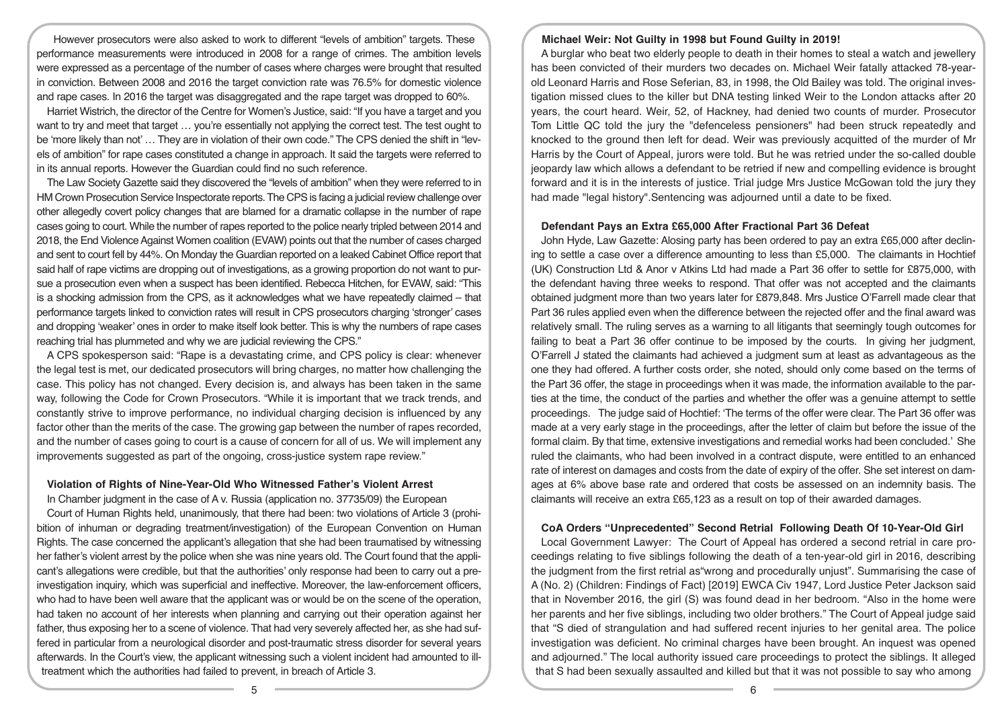However prosecutors were also asked to work to different "levels of ambition" targets. These performance measurements were introduced in 2008 for a range of crimes. The ambition levels were expressed as a percentage of the number of cases where charges were brought that resulted in conviction. Between 2008 and 2016 the target conviction rate was 76.5% for domestic violence and rape cases. In 2016 the target was disaggregated and the rape target was dropped to 60%.

Harriet Wistrich, the director of the Centre for Women's Justice, said: "If you have a target and you want to try and meet that target … you're essentially not applying the correct test. The test ought to be 'more likely than not' … They are in violation of their own code." The CPS denied the shift in "levels of ambition" for rape cases constituted a change in approach. It said the targets were referred to in its annual reports. However the Guardian could find no such reference.

The Law Society Gazette said they discovered the "levels of ambition" when they were referred to in HM Crown Prosecution Service Inspectorate reports. The CPS is facing a judicial review challenge over other allegedly covert policy changes that are blamed for a dramatic collapse in the number of rape cases going to court. While the number of rapes reported to the police nearly tripled between 2014 and 2018, the End Violence Against Women coalition (EVAW) points out that the number of cases charged and sent to court fell by 44%. On Monday the Guardian reported on a leaked Cabinet Office report that said half of rape victims are dropping out of investigations, as a growing proportion do not want to pursue a prosecution even when a suspect has been identified. Rebecca Hitchen, for EVAW, said: "This is a shocking admission from the CPS, as it acknowledges what we have repeatedly claimed – that performance targets linked to conviction rates will result in CPS prosecutors charging 'stronger' cases and dropping 'weaker' ones in order to make itself look better. This is why the numbers of rape cases reaching trial has plummeted and why we are judicial reviewing the CPS."

A CPS spokesperson said: "Rape is a devastating crime, and CPS policy is clear: whenever the legal test is met, our dedicated prosecutors will bring charges, no matter how challenging the case. This policy has not changed. Every decision is, and always has been taken in the same way, following the Code for Crown Prosecutors. "While it is important that we track trends, and constantly strive to improve performance, no individual charging decision is influenced by any factor other than the merits of the case. The growing gap between the number of rapes recorded, and the number of cases going to court is a cause of concern for all of us. We will implement any improvements suggested as part of the ongoing, cross-justice system rape review."

#### **Violation of Rights of Nine-Year-Old Who Witnessed Father's Violent Arrest**

In Chamber judgment in the case of A v. Russia (application no. 37735/09) the European

Court of Human Rights held, unanimously, that there had been: two violations of Article 3 (prohibition of inhuman or degrading treatment/investigation) of the European Convention on Human Rights. The case concerned the applicant's allegation that she had been traumatised by witnessing her father's violent arrest by the police when she was nine years old. The Court found that the applicant's allegations were credible, but that the authorities' only response had been to carry out a preinvestigation inquiry, which was superficial and ineffective. Moreover, the law-enforcement officers, who had to have been well aware that the applicant was or would be on the scene of the operation, had taken no account of her interests when planning and carrying out their operation against her father, thus exposing her to a scene of violence. That had very severely affected her, as she had suffered in particular from a neurological disorder and post-traumatic stress disorder for several years afterwards. In the Court's view, the applicant witnessing such a violent incident had amounted to illtreatment which the authorities had failed to prevent, in breach of Article 3.

#### **Michael Weir: Not Guilty in 1998 but Found Guilty in 2019!**

A burglar who beat two elderly people to death in their homes to steal a watch and jewellery has been convicted of their murders two decades on. Michael Weir fatally attacked 78-yearold Leonard Harris and Rose Seferian, 83, in 1998, the Old Bailey was told. The original investigation missed clues to the killer but DNA testing linked Weir to the London attacks after 20 years, the court heard. Weir, 52, of Hackney, had denied two counts of murder. Prosecutor Tom Little QC told the jury the "defenceless pensioners" had been struck repeatedly and knocked to the ground then left for dead. Weir was previously acquitted of the murder of Mr Harris by the Court of Appeal, jurors were told. But he was retried under the so-called double jeopardy law which allows a defendant to be retried if new and compelling evidence is brought forward and it is in the interests of justice. Trial judge Mrs Justice McGowan told the jury they had made "legal history".Sentencing was adjourned until a date to be fixed.

## **Defendant Pays an Extra £65,000 After Fractional Part 36 Defeat**

John Hyde, Law Gazette: Alosing party has been ordered to pay an extra £65,000 after declining to settle a case over a difference amounting to less than £5,000. The claimants in Hochtief (UK) Construction Ltd & Anor v Atkins Ltd had made a Part 36 offer to settle for £875,000, with the defendant having three weeks to respond. That offer was not accepted and the claimants obtained judgment more than two years later for £879,848. Mrs Justice O'Farrell made clear that Part 36 rules applied even when the difference between the rejected offer and the final award was relatively small. The ruling serves as a warning to all litigants that seemingly tough outcomes for failing to beat a Part 36 offer continue to be imposed by the courts. In giving her judgment, O'Farrell J stated the claimants had achieved a judgment sum at least as advantageous as the one they had offered. A further costs order, she noted, should only come based on the terms of the Part 36 offer, the stage in proceedings when it was made, the information available to the parties at the time, the conduct of the parties and whether the offer was a genuine attempt to settle proceedings. The judge said of Hochtief: 'The terms of the offer were clear. The Part 36 offer was made at a very early stage in the proceedings, after the letter of claim but before the issue of the formal claim. By that time, extensive investigations and remedial works had been concluded.' She ruled the claimants, who had been involved in a contract dispute, were entitled to an enhanced rate of interest on damages and costs from the date of expiry of the offer. She set interest on damages at 6% above base rate and ordered that costs be assessed on an indemnity basis. The claimants will receive an extra £65,123 as a result on top of their awarded damages.

## **CoA Orders "Unprecedented" Second Retrial Following Death Of 10-Year-Old Girl**

Local Government Lawyer: The Court of Appeal has ordered a second retrial in care proceedings relating to five siblings following the death of a ten-year-old girl in 2016, describing the judgment from the first retrial as"wrong and procedurally unjust". Summarising the case of A (No. 2) (Children: Findings of Fact) [2019] EWCA Civ 1947, Lord Justice Peter Jackson said that in November 2016, the girl (S) was found dead in her bedroom. "Also in the home were her parents and her five siblings, including two older brothers." The Court of Appeal judge said that "S died of strangulation and had suffered recent injuries to her genital area. The police investigation was deficient. No criminal charges have been brought. An inquest was opened and adjourned." The local authority issued care proceedings to protect the siblings. It alleged that S had been sexually assaulted and killed but that it was not possible to say who among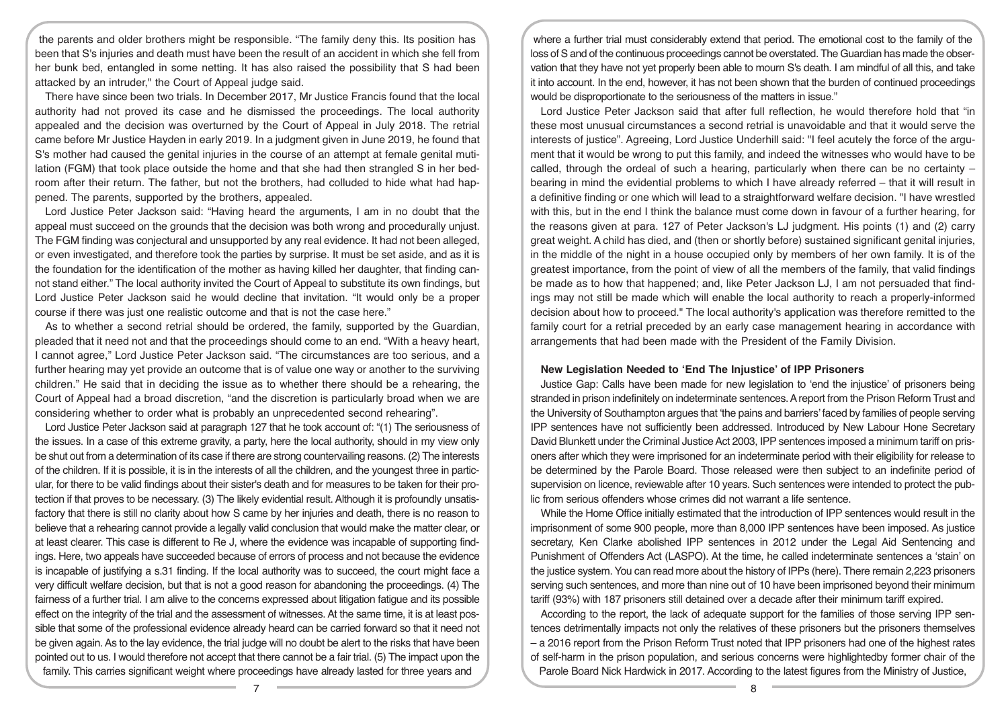the parents and older brothers might be responsible. "The family deny this. Its position has been that S's injuries and death must have been the result of an accident in which she fell from her bunk bed, entangled in some netting. It has also raised the possibility that S had been attacked by an intruder," the Court of Appeal judge said.

There have since been two trials. In December 2017, Mr Justice Francis found that the local authority had not proved its case and he dismissed the proceedings. The local authority appealed and the decision was overturned by the Court of Appeal in July 2018. The retrial came before Mr Justice Hayden in early 2019. In a judgment given in June 2019, he found that S's mother had caused the genital injuries in the course of an attempt at female genital mutilation (FGM) that took place outside the home and that she had then strangled S in her bedroom after their return. The father, but not the brothers, had colluded to hide what had happened. The parents, supported by the brothers, appealed.

Lord Justice Peter Jackson said: "Having heard the arguments, I am in no doubt that the appeal must succeed on the grounds that the decision was both wrong and procedurally unjust. The FGM finding was conjectural and unsupported by any real evidence. It had not been alleged, or even investigated, and therefore took the parties by surprise. It must be set aside, and as it is the foundation for the identification of the mother as having killed her daughter, that finding cannot stand either." The local authority invited the Court of Appeal to substitute its own findings, but Lord Justice Peter Jackson said he would decline that invitation. "It would only be a proper course if there was just one realistic outcome and that is not the case here."

As to whether a second retrial should be ordered, the family, supported by the Guardian, pleaded that it need not and that the proceedings should come to an end. "With a heavy heart, I cannot agree," Lord Justice Peter Jackson said. "The circumstances are too serious, and a further hearing may yet provide an outcome that is of value one way or another to the surviving children." He said that in deciding the issue as to whether there should be a rehearing, the Court of Appeal had a broad discretion, "and the discretion is particularly broad when we are considering whether to order what is probably an unprecedented second rehearing".

Lord Justice Peter Jackson said at paragraph 127 that he took account of: "(1) The seriousness of the issues. In a case of this extreme gravity, a party, here the local authority, should in my view only be shut out from a determination of its case if there are strong countervailing reasons. (2) The interests of the children. If it is possible, it is in the interests of all the children, and the youngest three in particular, for there to be valid findings about their sister's death and for measures to be taken for their protection if that proves to be necessary. (3) The likely evidential result. Although it is profoundly unsatisfactory that there is still no clarity about how S came by her injuries and death, there is no reason to believe that a rehearing cannot provide a legally valid conclusion that would make the matter clear, or at least clearer. This case is different to Re J, where the evidence was incapable of supporting findings. Here, two appeals have succeeded because of errors of process and not because the evidence is incapable of justifying a s.31 finding. If the local authority was to succeed, the court might face a very difficult welfare decision, but that is not a good reason for abandoning the proceedings. (4) The fairness of a further trial. I am alive to the concerns expressed about litigation fatigue and its possible effect on the integrity of the trial and the assessment of witnesses. At the same time, it is at least possible that some of the professional evidence already heard can be carried forward so that it need not be given again. As to the lay evidence, the trial judge will no doubt be alert to the risks that have been pointed out to us. I would therefore not accept that there cannot be a fair trial. (5) The impact upon the family. This carries significant weight where proceedings have already lasted for three years and

where a further trial must considerably extend that period. The emotional cost to the family of the loss of S and of the continuous proceedings cannot be overstated. The Guardian has made the observation that they have not yet properly been able to mourn S's death. I am mindful of all this, and take it into account. In the end, however, it has not been shown that the burden of continued proceedings would be disproportionate to the seriousness of the matters in issue."

Lord Justice Peter Jackson said that after full reflection, he would therefore hold that "in these most unusual circumstances a second retrial is unavoidable and that it would serve the interests of justice". Agreeing, Lord Justice Underhill said: "I feel acutely the force of the argument that it would be wrong to put this family, and indeed the witnesses who would have to be called, through the ordeal of such a hearing, particularly when there can be no certainty – bearing in mind the evidential problems to which I have already referred – that it will result in a definitive finding or one which will lead to a straightforward welfare decision. "I have wrestled with this, but in the end I think the balance must come down in favour of a further hearing, for the reasons given at para. 127 of Peter Jackson's LJ judgment. His points (1) and (2) carry great weight. A child has died, and (then or shortly before) sustained significant genital injuries, in the middle of the night in a house occupied only by members of her own family. It is of the greatest importance, from the point of view of all the members of the family, that valid findings be made as to how that happened; and, like Peter Jackson LJ, I am not persuaded that findings may not still be made which will enable the local authority to reach a properly-informed decision about how to proceed." The local authority's application was therefore remitted to the family court for a retrial preceded by an early case management hearing in accordance with arrangements that had been made with the President of the Family Division.

## **New Legislation Needed to 'End The Injustice' of IPP Prisoners**

Justice Gap: Calls have been made for new legislation to 'end the injustice' of prisoners being stranded in prison indefinitely on indeterminate sentences. A report from the Prison Reform Trust and the University of Southampton argues that 'the pains and barriers' faced by families of people serving IPP sentences have not sufficiently been addressed. Introduced by New Labour Hone Secretary David Blunkett under the Criminal Justice Act 2003, IPP sentences imposed a minimum tariff on prisoners after which they were imprisoned for an indeterminate period with their eligibility for release to be determined by the Parole Board. Those released were then subject to an indefinite period of supervision on licence, reviewable after 10 years. Such sentences were intended to protect the public from serious offenders whose crimes did not warrant a life sentence.

While the Home Office initially estimated that the introduction of IPP sentences would result in the imprisonment of some 900 people, more than 8,000 IPP sentences have been imposed. As justice secretary, Ken Clarke abolished IPP sentences in 2012 under the Legal Aid Sentencing and Punishment of Offenders Act (LASPO). At the time, he called indeterminate sentences a 'stain' on the justice system. You can read more about the history of IPPs (here). There remain 2,223 prisoners serving such sentences, and more than nine out of 10 have been imprisoned beyond their minimum tariff (93%) with 187 prisoners still detained over a decade after their minimum tariff expired.

According to the report, the lack of adequate support for the families of those serving IPP sentences detrimentally impacts not only the relatives of these prisoners but the prisoners themselves – a 2016 report from the Prison Reform Trust noted that IPP prisoners had one of the highest rates of self-harm in the prison population, and serious concerns were highlightedby former chair of the Parole Board Nick Hardwick in 2017. According to the latest figures from the Ministry of Justice,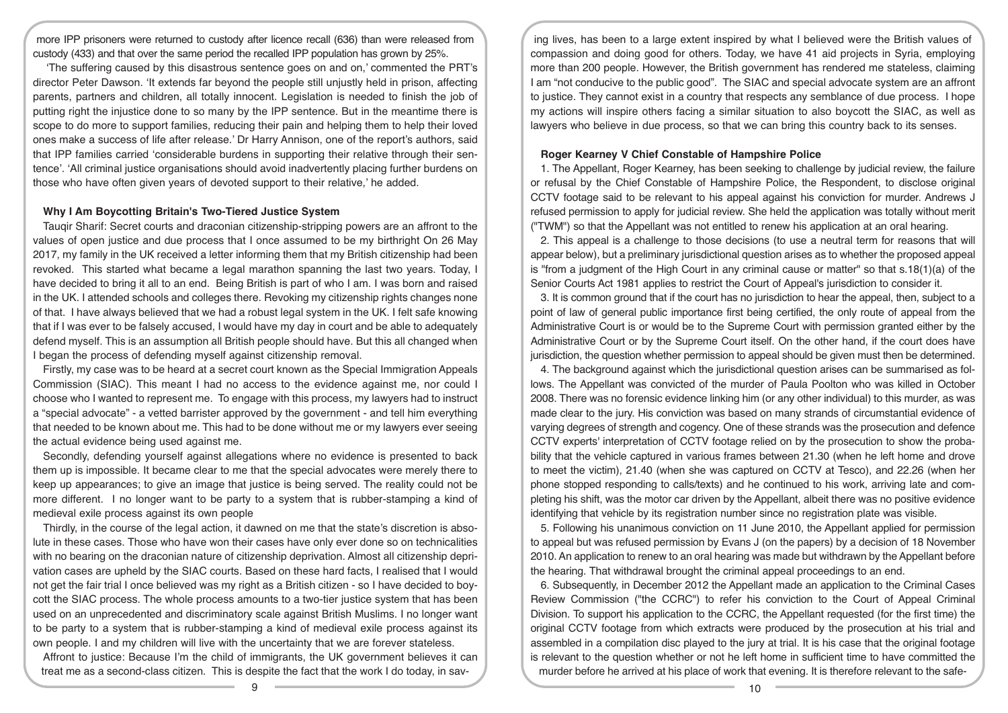more IPP prisoners were returned to custody after licence recall (636) than were released from custody (433) and that over the same period the recalled IPP population has grown by 25%.

 'The suffering caused by this disastrous sentence goes on and on,' commented the PRT's director Peter Dawson. 'It extends far beyond the people still unjustly held in prison, affecting parents, partners and children, all totally innocent. Legislation is needed to finish the job of putting right the injustice done to so many by the IPP sentence. But in the meantime there is scope to do more to support families, reducing their pain and helping them to help their loved ones make a success of life after release.' Dr Harry Annison, one of the report's authors, said that IPP families carried 'considerable burdens in supporting their relative through their sentence'. 'All criminal justice organisations should avoid inadvertently placing further burdens on those who have often given years of devoted support to their relative,' he added.

# **Why I Am Boycotting Britain's Two-Tiered Justice System**

Tauqir Sharif: Secret courts and draconian citizenship-stripping powers are an affront to the values of open justice and due process that I once assumed to be my birthright On 26 May 2017, my family in the UK received a letter informing them that my British citizenship had been revoked. This started what became a legal marathon spanning the last two years. Today, I have decided to bring it all to an end. Being British is part of who I am. I was born and raised in the UK. I attended schools and colleges there. Revoking my citizenship rights changes none of that. I have always believed that we had a robust legal system in the UK. I felt safe knowing that if I was ever to be falsely accused, I would have my day in court and be able to adequately defend myself. This is an assumption all British people should have. But this all changed when I began the process of defending myself against citizenship removal.

Firstly, my case was to be heard at a secret court known as the Special Immigration Appeals Commission (SIAC). This meant I had no access to the evidence against me, nor could I choose who I wanted to represent me. To engage with this process, my lawyers had to instruct a "special advocate" - a vetted barrister approved by the government - and tell him everything that needed to be known about me. This had to be done without me or my lawyers ever seeing the actual evidence being used against me.

Secondly, defending yourself against allegations where no evidence is presented to back them up is impossible. It became clear to me that the special advocates were merely there to keep up appearances; to give an image that justice is being served. The reality could not be more different. I no longer want to be party to a system that is rubber-stamping a kind of medieval exile process against its own people

Thirdly, in the course of the legal action, it dawned on me that the state's discretion is absolute in these cases. Those who have won their cases have only ever done so on technicalities with no bearing on the draconian nature of citizenship deprivation. Almost all citizenship deprivation cases are upheld by the SIAC courts. Based on these hard facts, I realised that I would not get the fair trial I once believed was my right as a British citizen - so I have decided to boycott the SIAC process. The whole process amounts to a two-tier justice system that has been used on an unprecedented and discriminatory scale against British Muslims. I no longer want to be party to a system that is rubber-stamping a kind of medieval exile process against its own people. I and my children will live with the uncertainty that we are forever stateless.

Affront to justice: Because I'm the child of immigrants, the UK government believes it can treat me as a second-class citizen. This is despite the fact that the work I do today, in sav-

ing lives, has been to a large extent inspired by what I believed were the British values of compassion and doing good for others. Today, we have 41 aid projects in Syria, employing more than 200 people. However, the British government has rendered me stateless, claiming I am "not conducive to the public good". The SIAC and special advocate system are an affront to justice. They cannot exist in a country that respects any semblance of due process. I hope my actions will inspire others facing a similar situation to also boycott the SIAC, as well as lawyers who believe in due process, so that we can bring this country back to its senses.

## **Roger Kearney V Chief Constable of Hampshire Police**

1. The Appellant, Roger Kearney, has been seeking to challenge by judicial review, the failure or refusal by the Chief Constable of Hampshire Police, the Respondent, to disclose original CCTV footage said to be relevant to his appeal against his conviction for murder. Andrews J refused permission to apply for judicial review. She held the application was totally without merit ("TWM") so that the Appellant was not entitled to renew his application at an oral hearing.

2. This appeal is a challenge to those decisions (to use a neutral term for reasons that will appear below), but a preliminary jurisdictional question arises as to whether the proposed appeal is "from a judgment of the High Court in any criminal cause or matter" so that  $s.18(1)(a)$  of the Senior Courts Act 1981 applies to restrict the Court of Appeal's jurisdiction to consider it.

3. It is common ground that if the court has no jurisdiction to hear the appeal, then, subject to a point of law of general public importance first being certified, the only route of appeal from the Administrative Court is or would be to the Supreme Court with permission granted either by the Administrative Court or by the Supreme Court itself. On the other hand, if the court does have jurisdiction, the question whether permission to appeal should be given must then be determined.

4. The background against which the jurisdictional question arises can be summarised as follows. The Appellant was convicted of the murder of Paula Poolton who was killed in October 2008. There was no forensic evidence linking him (or any other individual) to this murder, as was made clear to the jury. His conviction was based on many strands of circumstantial evidence of varying degrees of strength and cogency. One of these strands was the prosecution and defence CCTV experts' interpretation of CCTV footage relied on by the prosecution to show the probability that the vehicle captured in various frames between 21.30 (when he left home and drove to meet the victim), 21.40 (when she was captured on CCTV at Tesco), and 22.26 (when her phone stopped responding to calls/texts) and he continued to his work, arriving late and completing his shift, was the motor car driven by the Appellant, albeit there was no positive evidence identifying that vehicle by its registration number since no registration plate was visible.

5. Following his unanimous conviction on 11 June 2010, the Appellant applied for permission to appeal but was refused permission by Evans J (on the papers) by a decision of 18 November 2010. An application to renew to an oral hearing was made but withdrawn by the Appellant before the hearing. That withdrawal brought the criminal appeal proceedings to an end.

6. Subsequently, in December 2012 the Appellant made an application to the Criminal Cases Review Commission ("the CCRC") to refer his conviction to the Court of Appeal Criminal Division. To support his application to the CCRC, the Appellant requested (for the first time) the original CCTV footage from which extracts were produced by the prosecution at his trial and assembled in a compilation disc played to the jury at trial. It is his case that the original footage is relevant to the question whether or not he left home in sufficient time to have committed the murder before he arrived at his place of work that evening. It is therefore relevant to the safe-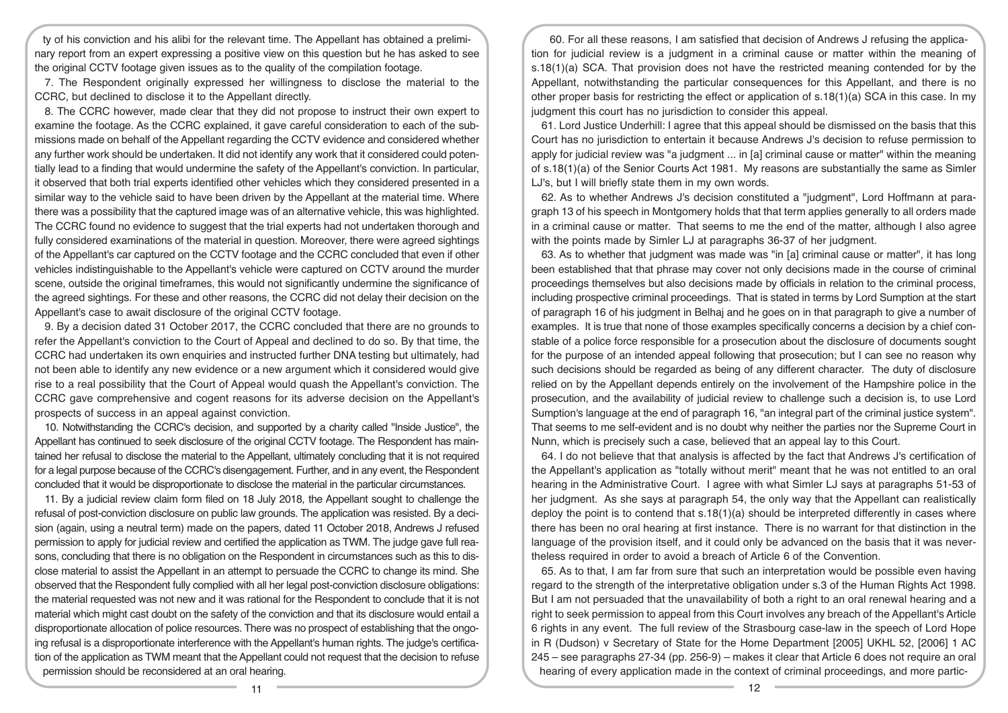ty of his conviction and his alibi for the relevant time. The Appellant has obtained a preliminary report from an expert expressing a positive view on this question but he has asked to see the original CCTV footage given issues as to the quality of the compilation footage.

7. The Respondent originally expressed her willingness to disclose the material to the CCRC, but declined to disclose it to the Appellant directly.

8. The CCRC however, made clear that they did not propose to instruct their own expert to examine the footage. As the CCRC explained, it gave careful consideration to each of the submissions made on behalf of the Appellant regarding the CCTV evidence and considered whether any further work should be undertaken. It did not identify any work that it considered could potentially lead to a finding that would undermine the safety of the Appellant's conviction. In particular, it observed that both trial experts identified other vehicles which they considered presented in a similar way to the vehicle said to have been driven by the Appellant at the material time. Where there was a possibility that the captured image was of an alternative vehicle, this was highlighted. The CCRC found no evidence to suggest that the trial experts had not undertaken thorough and fully considered examinations of the material in question. Moreover, there were agreed sightings of the Appellant's car captured on the CCTV footage and the CCRC concluded that even if other vehicles indistinguishable to the Appellant's vehicle were captured on CCTV around the murder scene, outside the original timeframes, this would not significantly undermine the significance of the agreed sightings. For these and other reasons, the CCRC did not delay their decision on the Appellant's case to await disclosure of the original CCTV footage.

9. By a decision dated 31 October 2017, the CCRC concluded that there are no grounds to refer the Appellant's conviction to the Court of Appeal and declined to do so. By that time, the CCRC had undertaken its own enquiries and instructed further DNA testing but ultimately, had not been able to identify any new evidence or a new argument which it considered would give rise to a real possibility that the Court of Appeal would quash the Appellant's conviction. The CCRC gave comprehensive and cogent reasons for its adverse decision on the Appellant's prospects of success in an appeal against conviction.

10. Notwithstanding the CCRC's decision, and supported by a charity called "Inside Justice", the Appellant has continued to seek disclosure of the original CCTV footage. The Respondent has maintained her refusal to disclose the material to the Appellant, ultimately concluding that it is not required for a legal purpose because of the CCRC's disengagement. Further, and in any event, the Respondent concluded that it would be disproportionate to disclose the material in the particular circumstances.

11. By a judicial review claim form filed on 18 July 2018, the Appellant sought to challenge the refusal of post-conviction disclosure on public law grounds. The application was resisted. By a decision (again, using a neutral term) made on the papers, dated 11 October 2018, Andrews J refused permission to apply for judicial review and certified the application as TWM. The judge gave full reasons, concluding that there is no obligation on the Respondent in circumstances such as this to disclose material to assist the Appellant in an attempt to persuade the CCRC to change its mind. She observed that the Respondent fully complied with all her legal post-conviction disclosure obligations: the material requested was not new and it was rational for the Respondent to conclude that it is not material which might cast doubt on the safety of the conviction and that its disclosure would entail a disproportionate allocation of police resources. There was no prospect of establishing that the ongoing refusal is a disproportionate interference with the Appellant's human rights. The judge's certification of the application as TWM meant that the Appellant could not request that the decision to refuse permission should be reconsidered at an oral hearing.

60. For all these reasons, I am satisfied that decision of Andrews J refusing the application for judicial review is a judgment in a criminal cause or matter within the meaning of s.18(1)(a) SCA. That provision does not have the restricted meaning contended for by the Appellant, notwithstanding the particular consequences for this Appellant, and there is no other proper basis for restricting the effect or application of s.18(1)(a) SCA in this case. In my judgment this court has no jurisdiction to consider this appeal.

61. Lord Justice Underhill: I agree that this appeal should be dismissed on the basis that this Court has no jurisdiction to entertain it because Andrews J's decision to refuse permission to apply for judicial review was "a judgment ... in [a] criminal cause or matter" within the meaning of s.18(1)(a) of the Senior Courts Act 1981. My reasons are substantially the same as Simler LJ's, but I will briefly state them in my own words.

62. As to whether Andrews J's decision constituted a "judgment", Lord Hoffmann at paragraph 13 of his speech in Montgomery holds that that term applies generally to all orders made in a criminal cause or matter. That seems to me the end of the matter, although I also agree with the points made by Simler LJ at paragraphs 36-37 of her judgment.

63. As to whether that judgment was made was "in [a] criminal cause or matter", it has long been established that that phrase may cover not only decisions made in the course of criminal proceedings themselves but also decisions made by officials in relation to the criminal process, including prospective criminal proceedings. That is stated in terms by Lord Sumption at the start of paragraph 16 of his judgment in Belhaj and he goes on in that paragraph to give a number of examples. It is true that none of those examples specifically concerns a decision by a chief constable of a police force responsible for a prosecution about the disclosure of documents sought for the purpose of an intended appeal following that prosecution; but I can see no reason why such decisions should be regarded as being of any different character. The duty of disclosure relied on by the Appellant depends entirely on the involvement of the Hampshire police in the prosecution, and the availability of judicial review to challenge such a decision is, to use Lord Sumption's language at the end of paragraph 16, "an integral part of the criminal justice system". That seems to me self-evident and is no doubt why neither the parties nor the Supreme Court in Nunn, which is precisely such a case, believed that an appeal lay to this Court.

64. I do not believe that that analysis is affected by the fact that Andrews J's certification of the Appellant's application as "totally without merit" meant that he was not entitled to an oral hearing in the Administrative Court. I agree with what Simler LJ says at paragraphs 51-53 of her judgment. As she says at paragraph 54, the only way that the Appellant can realistically deploy the point is to contend that s.18(1)(a) should be interpreted differently in cases where there has been no oral hearing at first instance. There is no warrant for that distinction in the language of the provision itself, and it could only be advanced on the basis that it was nevertheless required in order to avoid a breach of Article 6 of the Convention.

65. As to that, I am far from sure that such an interpretation would be possible even having regard to the strength of the interpretative obligation under s.3 of the Human Rights Act 1998. But I am not persuaded that the unavailability of both a right to an oral renewal hearing and a right to seek permission to appeal from this Court involves any breach of the Appellant's Article 6 rights in any event. The full review of the Strasbourg case-law in the speech of Lord Hope in R (Dudson) v Secretary of State for the Home Department [2005] UKHL 52, [2006] 1 AC 245 – see paragraphs 27-34 (pp. 256-9) – makes it clear that Article 6 does not require an oral hearing of every application made in the context of criminal proceedings, and more partic-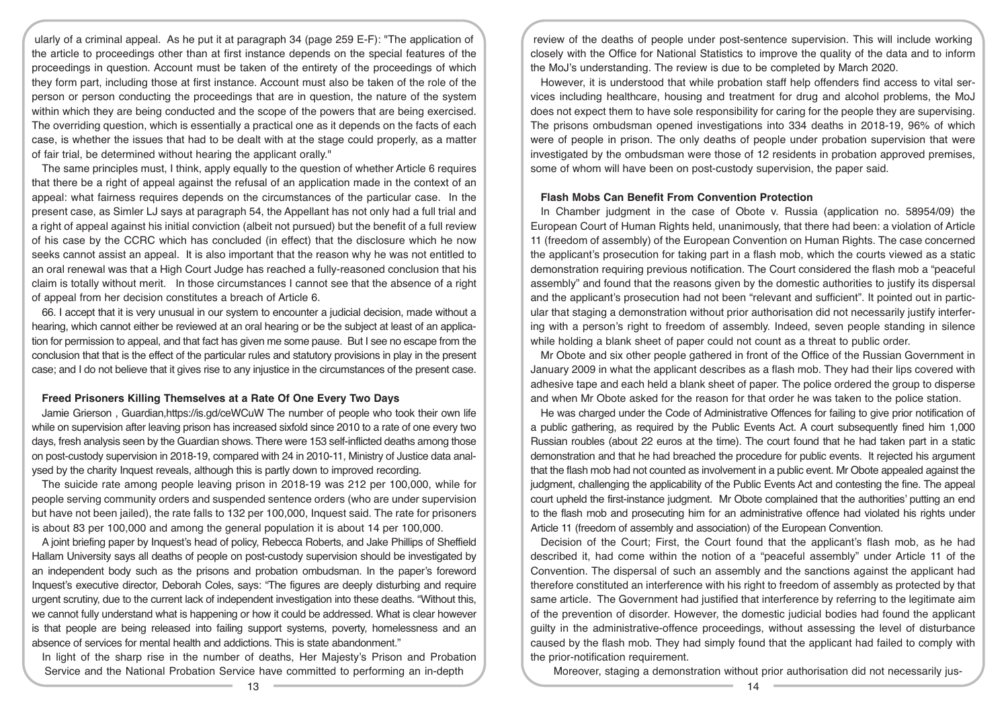ularly of a criminal appeal. As he put it at paragraph 34 (page 259 E-F): "The application of the article to proceedings other than at first instance depends on the special features of the proceedings in question. Account must be taken of the entirety of the proceedings of which they form part, including those at first instance. Account must also be taken of the role of the person or person conducting the proceedings that are in question, the nature of the system within which they are being conducted and the scope of the powers that are being exercised. The overriding question, which is essentially a practical one as it depends on the facts of each case, is whether the issues that had to be dealt with at the stage could properly, as a matter of fair trial, be determined without hearing the applicant orally."

The same principles must, I think, apply equally to the question of whether Article 6 requires that there be a right of appeal against the refusal of an application made in the context of an appeal: what fairness requires depends on the circumstances of the particular case. In the present case, as Simler LJ says at paragraph 54, the Appellant has not only had a full trial and a right of appeal against his initial conviction (albeit not pursued) but the benefit of a full review of his case by the CCRC which has concluded (in effect) that the disclosure which he now seeks cannot assist an appeal. It is also important that the reason why he was not entitled to an oral renewal was that a High Court Judge has reached a fully-reasoned conclusion that his claim is totally without merit. In those circumstances I cannot see that the absence of a right of appeal from her decision constitutes a breach of Article 6.

66. I accept that it is very unusual in our system to encounter a judicial decision, made without a hearing, which cannot either be reviewed at an oral hearing or be the subject at least of an application for permission to appeal, and that fact has given me some pause. But I see no escape from the conclusion that that is the effect of the particular rules and statutory provisions in play in the present case; and I do not believe that it gives rise to any injustice in the circumstances of the present case.

# **Freed Prisoners Killing Themselves at a Rate Of One Every Two Days**

Jamie Grierson , Guardian,https://is.gd/ceWCuW The number of people who took their own life while on supervision after leaving prison has increased sixfold since 2010 to a rate of one every two days, fresh analysis seen by the Guardian shows. There were 153 self-inflicted deaths among those on post-custody supervision in 2018-19, compared with 24 in 2010-11, Ministry of Justice data analysed by the charity Inquest reveals, although this is partly down to improved recording.

The suicide rate among people leaving prison in 2018-19 was 212 per 100,000, while for people serving community orders and suspended sentence orders (who are under supervision but have not been jailed), the rate falls to 132 per 100,000, Inquest said. The rate for prisoners is about 83 per 100,000 and among the general population it is about 14 per 100,000.

A joint briefing paper by Inquest's head of policy, Rebecca Roberts, and Jake Phillips of Sheffield Hallam University says all deaths of people on post-custody supervision should be investigated by an independent body such as the prisons and probation ombudsman. In the paper's foreword Inquest's executive director, Deborah Coles, says: "The figures are deeply disturbing and require urgent scrutiny, due to the current lack of independent investigation into these deaths. "Without this, we cannot fully understand what is happening or how it could be addressed. What is clear however is that people are being released into failing support systems, poverty, homelessness and an absence of services for mental health and addictions. This is state abandonment."

In light of the sharp rise in the number of deaths, Her Majesty's Prison and Probation Service and the National Probation Service have committed to performing an in-depth

review of the deaths of people under post-sentence supervision. This will include working closely with the Office for National Statistics to improve the quality of the data and to inform the MoJ's understanding. The review is due to be completed by March 2020.

However, it is understood that while probation staff help offenders find access to vital services including healthcare, housing and treatment for drug and alcohol problems, the MoJ does not expect them to have sole responsibility for caring for the people they are supervising. The prisons ombudsman opened investigations into 334 deaths in 2018-19, 96% of which were of people in prison. The only deaths of people under probation supervision that were investigated by the ombudsman were those of 12 residents in probation approved premises, some of whom will have been on post-custody supervision, the paper said.

#### **Flash Mobs Can Benefit From Convention Protection**

In Chamber judgment in the case of Obote v. Russia (application no. 58954/09) the European Court of Human Rights held, unanimously, that there had been: a violation of Article 11 (freedom of assembly) of the European Convention on Human Rights. The case concerned the applicant's prosecution for taking part in a flash mob, which the courts viewed as a static demonstration requiring previous notification. The Court considered the flash mob a "peaceful assembly" and found that the reasons given by the domestic authorities to justify its dispersal and the applicant's prosecution had not been "relevant and sufficient". It pointed out in particular that staging a demonstration without prior authorisation did not necessarily justify interfering with a person's right to freedom of assembly. Indeed, seven people standing in silence while holding a blank sheet of paper could not count as a threat to public order.

Mr Obote and six other people gathered in front of the Office of the Russian Government in January 2009 in what the applicant describes as a flash mob. They had their lips covered with adhesive tape and each held a blank sheet of paper. The police ordered the group to disperse and when Mr Obote asked for the reason for that order he was taken to the police station.

He was charged under the Code of Administrative Offences for failing to give prior notification of a public gathering, as required by the Public Events Act. A court subsequently fined him 1,000 Russian roubles (about 22 euros at the time). The court found that he had taken part in a static demonstration and that he had breached the procedure for public events. It rejected his argument that the flash mob had not counted as involvement in a public event. Mr Obote appealed against the judgment, challenging the applicability of the Public Events Act and contesting the fine. The appeal court upheld the first-instance judgment. Mr Obote complained that the authorities' putting an end to the flash mob and prosecuting him for an administrative offence had violated his rights under Article 11 (freedom of assembly and association) of the European Convention.

Decision of the Court; First, the Court found that the applicant's flash mob, as he had described it, had come within the notion of a "peaceful assembly" under Article 11 of the Convention. The dispersal of such an assembly and the sanctions against the applicant had therefore constituted an interference with his right to freedom of assembly as protected by that same article. The Government had justified that interference by referring to the legitimate aim of the prevention of disorder. However, the domestic judicial bodies had found the applicant guilty in the administrative-offence proceedings, without assessing the level of disturbance caused by the flash mob. They had simply found that the applicant had failed to comply with the prior-notification requirement.

Moreover, staging a demonstration without prior authorisation did not necessarily jus-